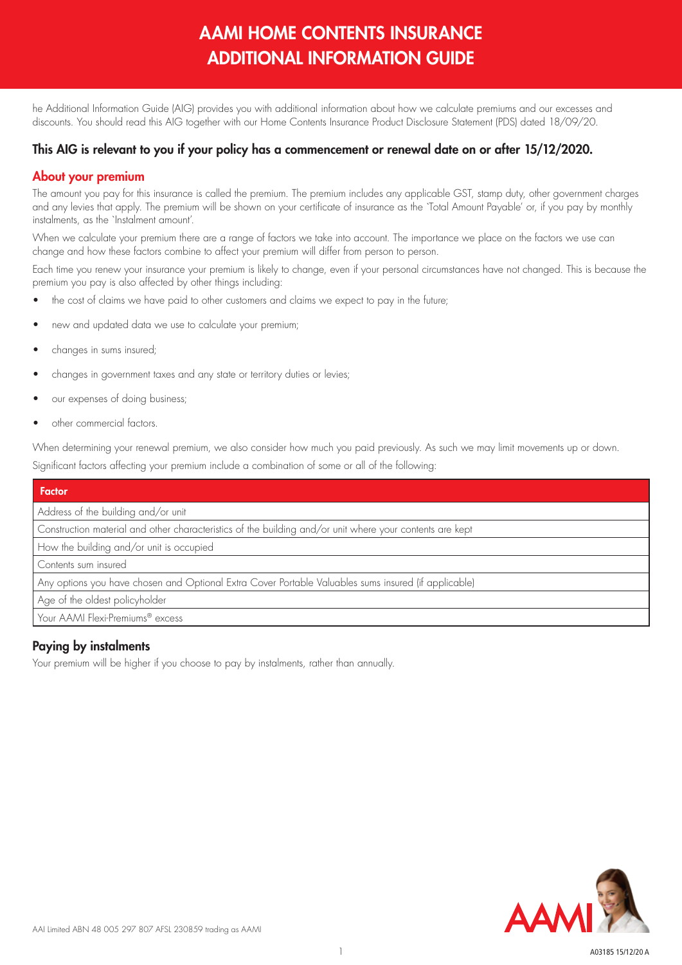# AAMI HOME CONTENTS INSURANCE ADDITIONAL INFORMATION GUIDE

he Additional Information Guide (AIG) provides you with additional information about how we calculate premiums and our excesses and discounts. You should read this AIG together with our Home Contents Insurance Product Disclosure Statement (PDS) dated 18/09/20.

## This AIG is relevant to you if your policy has a commencement or renewal date on or after 15/12/2020.

## About your premium

The amount you pay for this insurance is called the premium. The premium includes any applicable GST, stamp duty, other government charges and any levies that apply. The premium will be shown on your certificate of insurance as the `Total Amount Payable' or, if you pay by monthly instalments, as the `Instalment amount'.

When we calculate your premium there are a range of factors we take into account. The importance we place on the factors we use can change and how these factors combine to affect your premium will differ from person to person.

Each time you renew your insurance your premium is likely to change, even if your personal circumstances have not changed. This is because the premium you pay is also affected by other things including:

- the cost of claims we have paid to other customers and claims we expect to pay in the future;
- new and updated data we use to calculate your premium;
- changes in sums insured;
- changes in government taxes and any state or territory duties or levies;
- our expenses of doing business;
- other commercial factors.

When determining your renewal premium, we also consider how much you paid previously. As such we may limit movements up or down. Significant factors affecting your premium include a combination of some or all of the following:

| <b>Factor</b>                                                                                            |
|----------------------------------------------------------------------------------------------------------|
| Address of the building and/or unit                                                                      |
| Construction material and other characteristics of the building and/or unit where your contents are kept |
| How the building and/or unit is occupied                                                                 |
| Contents sum insured                                                                                     |
| Any options you have chosen and Optional Extra Cover Portable Valuables sums insured (if applicable)     |
| Age of the oldest policyholder                                                                           |
| Your AAMI Flexi-Premiums® excess                                                                         |

## Paying by instalments

Your premium will be higher if you choose to pay by instalments, rather than annually.